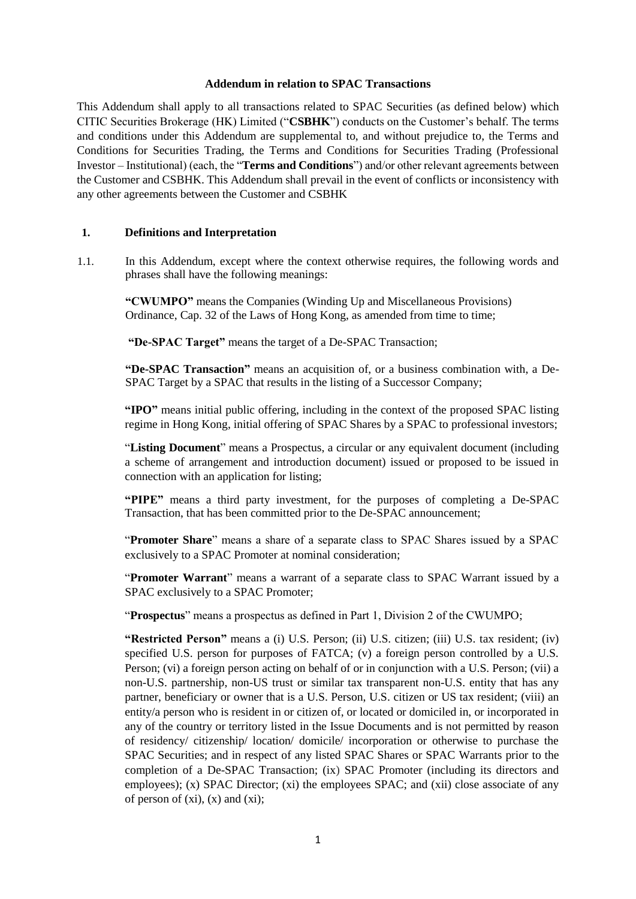### **Addendum in relation to SPAC Transactions**

This Addendum shall apply to all transactions related to SPAC Securities (as defined below) which CITIC Securities Brokerage (HK) Limited ("**CSBHK**") conducts on the Customer's behalf. The terms and conditions under this Addendum are supplemental to, and without prejudice to, the Terms and Conditions for Securities Trading, the Terms and Conditions for Securities Trading (Professional Investor – Institutional) (each, the "**Terms and Conditions**") and/or other relevant agreements between the Customer and CSBHK. This Addendum shall prevail in the event of conflicts or inconsistency with any other agreements between the Customer and CSBHK

# **1. Definitions and Interpretation**

1.1. In this Addendum, except where the context otherwise requires, the following words and phrases shall have the following meanings:

**"CWUMPO"** means the Companies (Winding Up and Miscellaneous Provisions) Ordinance, Cap. 32 of the Laws of Hong Kong, as amended from time to time;

**"De-SPAC Target"** means the target of a De-SPAC Transaction;

**"De-SPAC Transaction"** means an acquisition of, or a business combination with, a De-SPAC Target by a SPAC that results in the listing of a Successor Company;

**"IPO"** means initial public offering, including in the context of the proposed SPAC listing regime in Hong Kong, initial offering of SPAC Shares by a SPAC to professional investors;

"**Listing Document**" means a Prospectus, a circular or any equivalent document (including a scheme of arrangement and introduction document) issued or proposed to be issued in connection with an application for listing;

**"PIPE"** means a third party investment, for the purposes of completing a De-SPAC Transaction, that has been committed prior to the De-SPAC announcement;

"**Promoter Share**" means a share of a separate class to SPAC Shares issued by a SPAC exclusively to a SPAC Promoter at nominal consideration;

"**Promoter Warrant**" means a warrant of a separate class to SPAC Warrant issued by a SPAC exclusively to a SPAC Promoter;

"**Prospectus**" means a prospectus as defined in Part 1, Division 2 of the CWUMPO;

**"Restricted Person"** means a (i) U.S. Person; (ii) U.S. citizen; (iii) U.S. tax resident; (iv) specified U.S. person for purposes of FATCA; (v) a foreign person controlled by a U.S. Person; (vi) a foreign person acting on behalf of or in conjunction with a U.S. Person; (vii) a non-U.S. partnership, non-US trust or similar tax transparent non-U.S. entity that has any partner, beneficiary or owner that is a U.S. Person, U.S. citizen or US tax resident; (viii) an entity/a person who is resident in or citizen of, or located or domiciled in, or incorporated in any of the country or territory listed in the Issue Documents and is not permitted by reason of residency/ citizenship/ location/ domicile/ incorporation or otherwise to purchase the SPAC Securities; and in respect of any listed SPAC Shares or SPAC Warrants prior to the completion of a De-SPAC Transaction; (ix) SPAC Promoter (including its directors and employees); (x) SPAC Director; (xi) the employees SPAC; and (xii) close associate of any of person of  $(x_i)$ ,  $(x)$  and  $(x_i)$ ;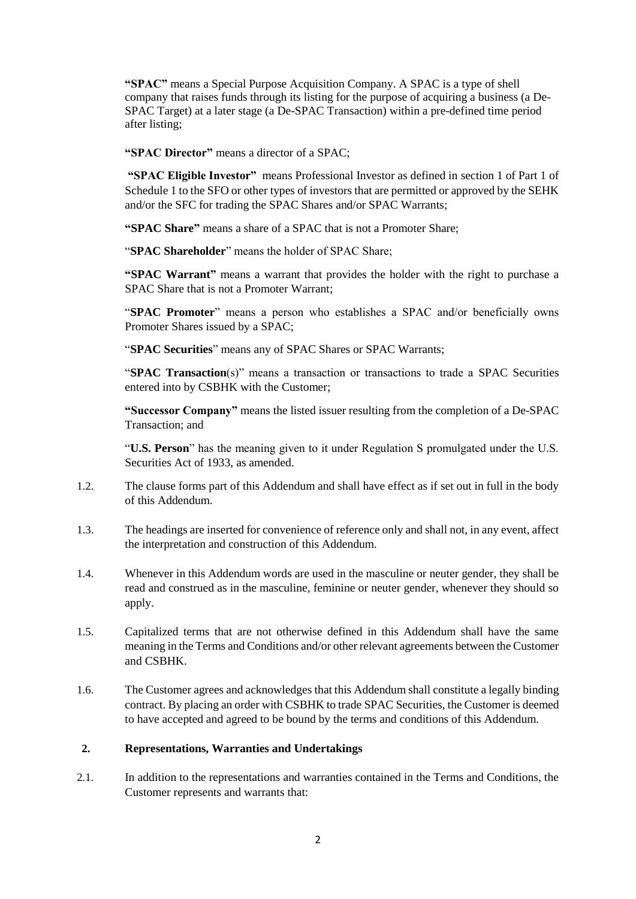**"SPAC"** means a Special Purpose Acquisition Company. A SPAC is a type of shell company that raises funds through its listing for the purpose of acquiring a business (a De-SPAC Target) at a later stage (a De-SPAC Transaction) within a pre-defined time period after listing;

**"SPAC Director"** means a director of a SPAC;

**"SPAC Eligible Investor"** means Professional Investor as defined in section 1 of Part 1 of Schedule 1 to the SFO or other types of investors that are permitted or approved by the SEHK and/or the SFC for trading the SPAC Shares and/or SPAC Warrants;

**"SPAC Share"** means a share of a SPAC that is not a Promoter Share;

"**SPAC Shareholder**" means the holder of SPAC Share;

**"SPAC Warrant"** means a warrant that provides the holder with the right to purchase a SPAC Share that is not a Promoter Warrant;

"**SPAC Promoter**" means a person who establishes a SPAC and/or beneficially owns Promoter Shares issued by a SPAC;

"**SPAC Securities**" means any of SPAC Shares or SPAC Warrants;

"**SPAC Transaction**(s)" means a transaction or transactions to trade a SPAC Securities entered into by CSBHK with the Customer;

**"Successor Company"** means the listed issuer resulting from the completion of a De-SPAC Transaction; and

"**U.S. Person**" has the meaning given to it under Regulation S promulgated under the U.S. Securities Act of 1933, as amended.

- 1.2. The clause forms part of this Addendum and shall have effect as if set out in full in the body of this Addendum.
- 1.3. The headings are inserted for convenience of reference only and shall not, in any event, affect the interpretation and construction of this Addendum.
- 1.4. [Whenever in](https://www.lawinsider.com/clause/gender) this Addendum words are used in the masculine or neuter gender, they shall be read and construed as in the masculine, feminine or neuter gender, whenever they should so apply.
- 1.5. Capitalized terms that are not otherwise defined in this Addendum shall have the same meaning in the Terms and Conditions and/or other relevant agreements between the Customer and CSBHK.
- 1.6. The Customer agrees and acknowledges that this Addendum shall constitute a legally binding contract. By placing an order with CSBHK to trade SPAC Securities, the Customer is deemed to have accepted and agreed to be bound by the terms and conditions of this Addendum.

# **2. Representations, Warranties and Undertakings**

2.1. In addition to the representations and warranties contained in the Terms and Conditions, the Customer represents and warrants that: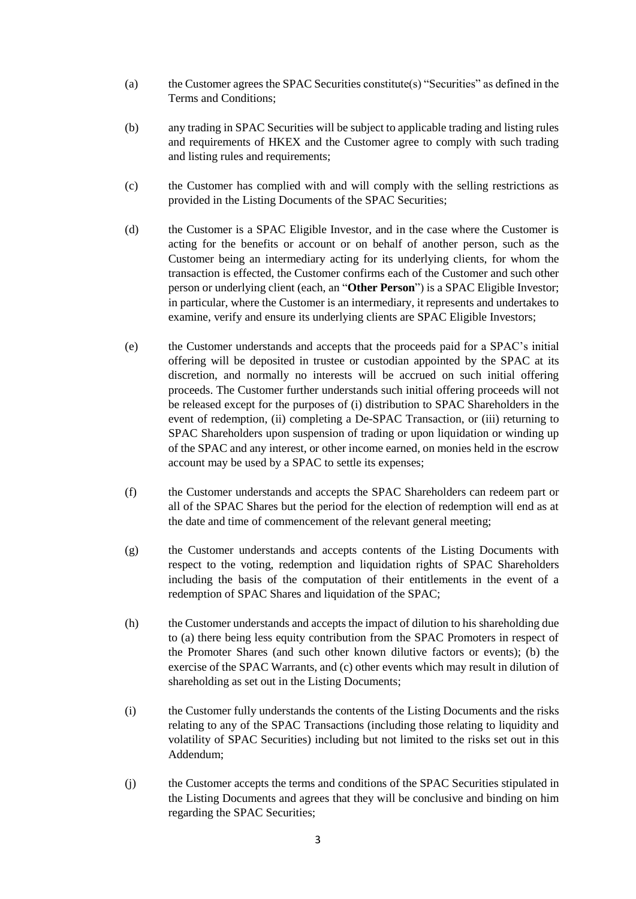- (a) the Customer agrees the SPAC Securities constitute(s) "Securities" as defined in the Terms and Conditions;
- (b) any trading in SPAC Securities will be subject to applicable trading and listing rules and requirements of HKEX and the Customer agree to comply with such trading and listing rules and requirements;
- (c) the Customer has complied with and will comply with the selling restrictions as provided in the Listing Documents of the SPAC Securities;
- (d) the Customer is a SPAC Eligible Investor, and in the case where the Customer is acting for the benefits or account or on behalf of another person, such as the Customer being an intermediary acting for its underlying clients, for whom the transaction is effected, the Customer confirms each of the Customer and such other person or underlying client (each, an "**Other Person**") is a SPAC Eligible Investor; in particular, where the Customer is an intermediary, it represents and undertakes to examine, verify and ensure its underlying clients are SPAC Eligible Investors;
- (e) the Customer understands and accepts that the proceeds paid for a SPAC's initial offering will be deposited in trustee or custodian appointed by the SPAC at its discretion, and normally no interests will be accrued on such initial offering proceeds. The Customer further understands such initial offering proceeds will not be released except for the purposes of (i) distribution to SPAC Shareholders in the event of redemption, (ii) completing a De-SPAC Transaction, or (iii) returning to SPAC Shareholders upon suspension of trading or upon liquidation or winding up of the SPAC and any interest, or other income earned, on monies held in the escrow account may be used by a SPAC to settle its expenses;
- (f) the Customer understands and accepts the SPAC Shareholders can redeem part or all of the SPAC Shares but the period for the election of redemption will end as at the date and time of commencement of the relevant general meeting;
- (g) the Customer understands and accepts contents of the Listing Documents with respect to the voting, redemption and liquidation rights of SPAC Shareholders including the basis of the computation of their entitlements in the event of a redemption of SPAC Shares and liquidation of the SPAC;
- (h) the Customer understands and accepts the impact of dilution to his shareholding due to (a) there being less equity contribution from the SPAC Promoters in respect of the Promoter Shares (and such other known dilutive factors or events); (b) the exercise of the SPAC Warrants, and (c) other events which may result in dilution of shareholding as set out in the Listing Documents;
- (i) the Customer fully understands the contents of the Listing Documents and the risks relating to any of the SPAC Transactions (including those relating to liquidity and volatility of SPAC Securities) including but not limited to the risks set out in this Addendum;
- (j) the Customer accepts the terms and conditions of the SPAC Securities stipulated in the Listing Documents and agrees that they will be conclusive and binding on him regarding the SPAC Securities;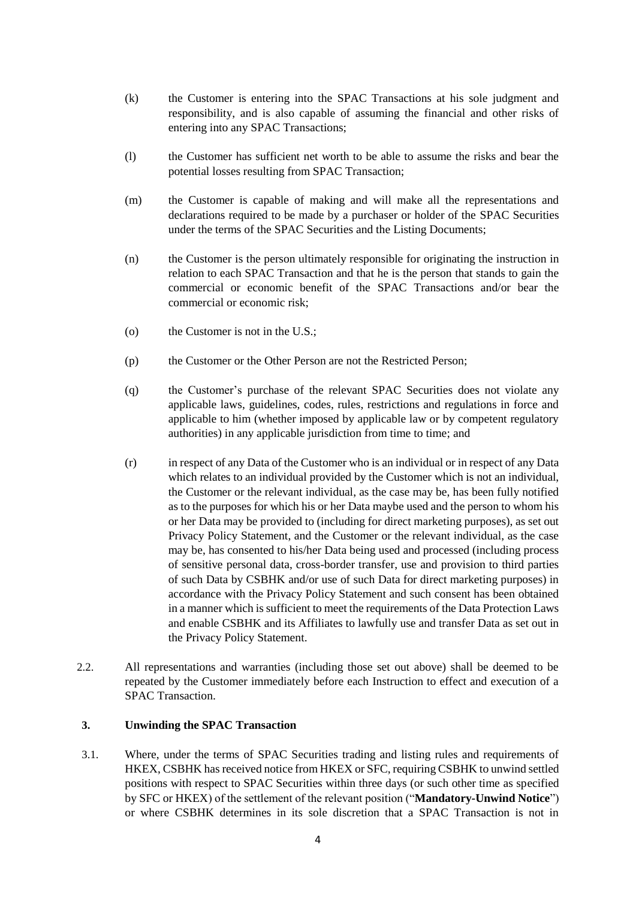- (k) the Customer is entering into the SPAC Transactions at his sole judgment and responsibility, and is also capable of assuming the financial and other risks of entering into any SPAC Transactions;
- (l) the Customer has sufficient net worth to be able to assume the risks and bear the potential losses resulting from SPAC Transaction;
- (m) the Customer is capable of making and will make all the representations and declarations required to be made by a purchaser or holder of the SPAC Securities under the terms of the SPAC Securities and the Listing Documents;
- (n) the Customer is the person ultimately responsible for originating the instruction in relation to each SPAC Transaction and that he is the person that stands to gain the commercial or economic benefit of the SPAC Transactions and/or bear the commercial or economic risk;
- (o) the Customer is not in the U.S.;
- (p) the Customer or the Other Person are not the Restricted Person;
- (q) the Customer's purchase of the relevant SPAC Securities does not violate any applicable laws, guidelines, codes, rules, restrictions and regulations in force and applicable to him (whether imposed by applicable law or by competent regulatory authorities) in any applicable jurisdiction from time to time; and
- (r) in respect of any Data of the Customer who is an individual or in respect of any Data which relates to an individual provided by the Customer which is not an individual, the Customer or the relevant individual, as the case may be, has been fully notified as to the purposes for which his or her Data maybe used and the person to whom his or her Data may be provided to (including for direct marketing purposes), as set out Privacy Policy Statement, and the Customer or the relevant individual, as the case may be, has consented to his/her Data being used and processed (including process of sensitive personal data, cross-border transfer, use and provision to third parties of such Data by CSBHK and/or use of such Data for direct marketing purposes) in accordance with the Privacy Policy Statement and such consent has been obtained in a manner which is sufficient to meet the requirements of the Data Protection Laws and enable CSBHK and its Affiliates to lawfully use and transfer Data as set out in the Privacy Policy Statement.
- 2.2. All representations and warranties (including those set out above) shall be deemed to be repeated by the Customer immediately before each Instruction to effect and execution of a SPAC Transaction.

# **3. Unwinding the SPAC Transaction**

3.1. Where, under the terms of SPAC Securities trading and listing rules and requirements of HKEX, CSBHK has received notice from HKEX or SFC, requiring CSBHK to unwind settled positions with respect to SPAC Securities within three days (or such other time as specified by SFC or HKEX) of the settlement of the relevant position ("**Mandatory-Unwind Notice**") or where CSBHK determines in its sole discretion that a SPAC Transaction is not in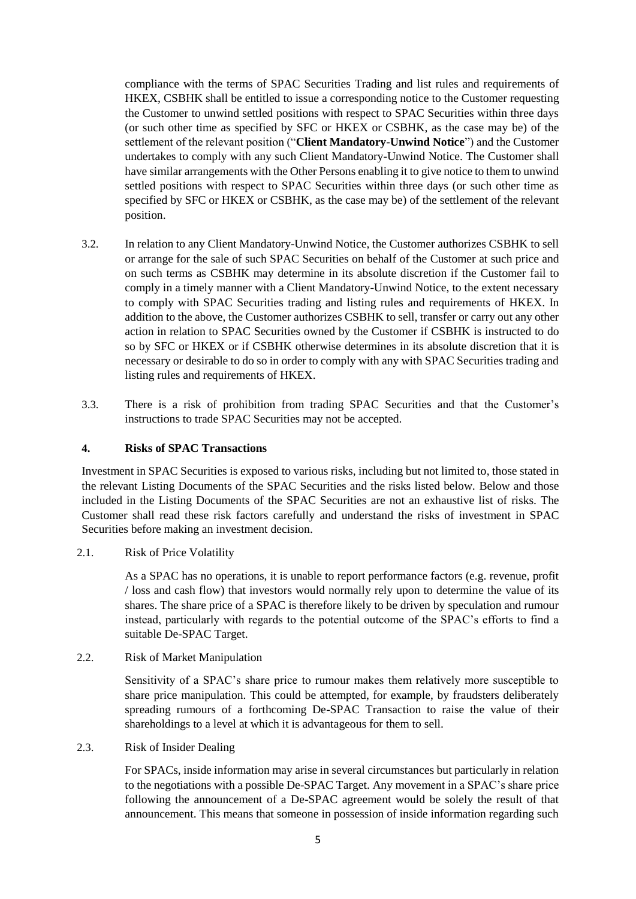compliance with the terms of SPAC Securities Trading and list rules and requirements of HKEX, CSBHK shall be entitled to issue a corresponding notice to the Customer requesting the Customer to unwind settled positions with respect to SPAC Securities within three days (or such other time as specified by SFC or HKEX or CSBHK, as the case may be) of the settlement of the relevant position ("**Client Mandatory-Unwind Notice**") and the Customer undertakes to comply with any such Client Mandatory-Unwind Notice. The Customer shall have similar arrangements with the Other Persons enabling it to give notice to them to unwind settled positions with respect to SPAC Securities within three days (or such other time as specified by SFC or HKEX or CSBHK, as the case may be) of the settlement of the relevant position.

- 3.2. In relation to any Client Mandatory-Unwind Notice, the Customer authorizes CSBHK to sell or arrange for the sale of such SPAC Securities on behalf of the Customer at such price and on such terms as CSBHK may determine in its absolute discretion if the Customer fail to comply in a timely manner with a Client Mandatory-Unwind Notice, to the extent necessary to comply with SPAC Securities trading and listing rules and requirements of HKEX. In addition to the above, the Customer authorizes CSBHK to sell, transfer or carry out any other action in relation to SPAC Securities owned by the Customer if CSBHK is instructed to do so by SFC or HKEX or if CSBHK otherwise determines in its absolute discretion that it is necessary or desirable to do so in order to comply with any with SPAC Securities trading and listing rules and requirements of HKEX.
- 3.3. There is a risk of prohibition from trading SPAC Securities and that the Customer's instructions to trade SPAC Securities may not be accepted.

# **4. Risks of SPAC Transactions**

Investment in SPAC Securities is exposed to various risks, including but not limited to, those stated in the relevant Listing Documents of the SPAC Securities and the risks listed below. Below and those included in the Listing Documents of the SPAC Securities are not an exhaustive list of risks. The Customer shall read these risk factors carefully and understand the risks of investment in SPAC Securities before making an investment decision.

2.1. Risk of Price Volatility

As a SPAC has no operations, it is unable to report performance factors (e.g. revenue, profit / loss and cash flow) that investors would normally rely upon to determine the value of its shares. The share price of a SPAC is therefore likely to be driven by speculation and rumour instead, particularly with regards to the potential outcome of the SPAC's efforts to find a suitable De-SPAC Target.

# 2.2. Risk of Market Manipulation

Sensitivity of a SPAC's share price to rumour makes them relatively more susceptible to share price manipulation. This could be attempted, for example, by fraudsters deliberately spreading rumours of a forthcoming De-SPAC Transaction to raise the value of their shareholdings to a level at which it is advantageous for them to sell.

# 2.3. Risk of Insider Dealing

For SPACs, inside information may arise in several circumstances but particularly in relation to the negotiations with a possible De-SPAC Target. Any movement in a SPAC's share price following the announcement of a De-SPAC agreement would be solely the result of that announcement. This means that someone in possession of inside information regarding such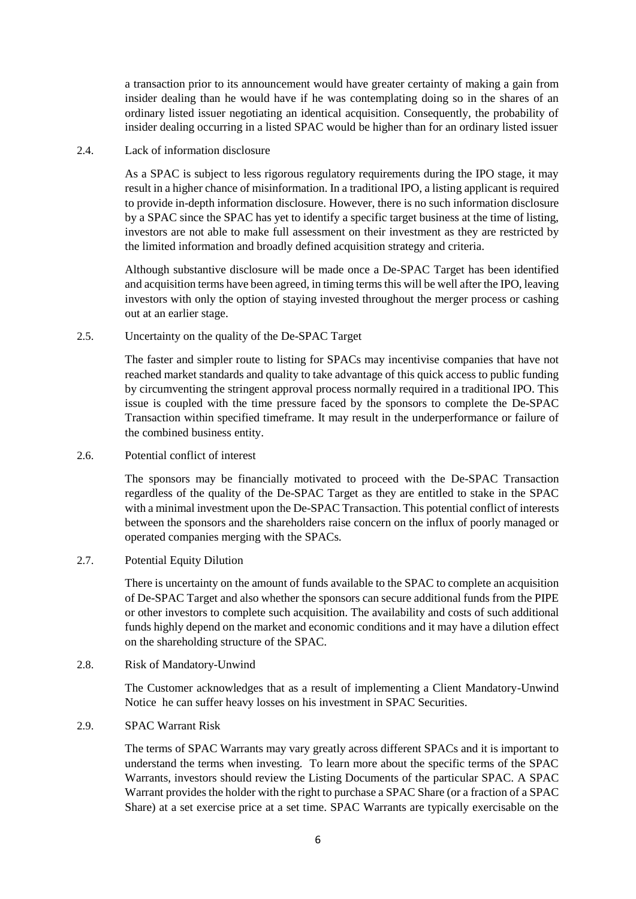a transaction prior to its announcement would have greater certainty of making a gain from insider dealing than he would have if he was contemplating doing so in the shares of an ordinary listed issuer negotiating an identical acquisition. Consequently, the probability of insider dealing occurring in a listed SPAC would be higher than for an ordinary listed issuer

## 2.4 Lack of information disclosure

As a SPAC is subject to less rigorous regulatory requirements during the IPO stage, it may result in a higher chance of misinformation. In a traditional IPO, a listing applicant is required to provide in-depth information disclosure. However, there is no such information disclosure by a SPAC since the SPAC has yet to identify a specific target business at the time of listing, investors are not able to make full assessment on their investment as they are restricted by the limited information and broadly defined acquisition strategy and criteria.

Although substantive disclosure will be made once a De-SPAC Target has been identified and acquisition terms have been agreed, in timing terms this will be well after the IPO, leaving investors with only the option of staying invested throughout the merger process or cashing out at an earlier stage.

## 2.5. Uncertainty on the quality of the De-SPAC Target

The faster and simpler route to listing for SPACs may incentivise companies that have not reached market standards and quality to take advantage of this quick access to public funding by circumventing the stringent approval process normally required in a traditional IPO. This issue is coupled with the time pressure faced by the sponsors to complete the De-SPAC Transaction within specified timeframe. It may result in the underperformance or failure of the combined business entity.

2.6. Potential conflict of interest

The sponsors may be financially motivated to proceed with the De-SPAC Transaction regardless of the quality of the De-SPAC Target as they are entitled to stake in the SPAC with a minimal investment upon the De-SPAC Transaction. This potential conflict of interests between the sponsors and the shareholders raise concern on the influx of poorly managed or operated companies merging with the SPACs.

2.7. Potential Equity Dilution

There is uncertainty on the amount of funds available to the SPAC to complete an acquisition of De-SPAC Target and also whether the sponsors can secure additional funds from the PIPE or other investors to complete such acquisition. The availability and costs of such additional funds highly depend on the market and economic conditions and it may have a dilution effect on the shareholding structure of the SPAC.

2.8. Risk of Mandatory-Unwind

The Customer acknowledges that as a result of implementing a Client Mandatory-Unwind Notice he can suffer heavy losses on his investment in SPAC Securities.

2.9. SPAC Warrant Risk

The terms of SPAC Warrants may vary greatly across different SPACs and it is important to understand the terms when investing. To learn more about the specific terms of the SPAC Warrants, investors should review the Listing Documents of the particular SPAC. A SPAC Warrant provides the holder with the right to purchase a SPAC Share (or a fraction of a SPAC Share) at a set exercise price at a set time. SPAC Warrants are typically exercisable on the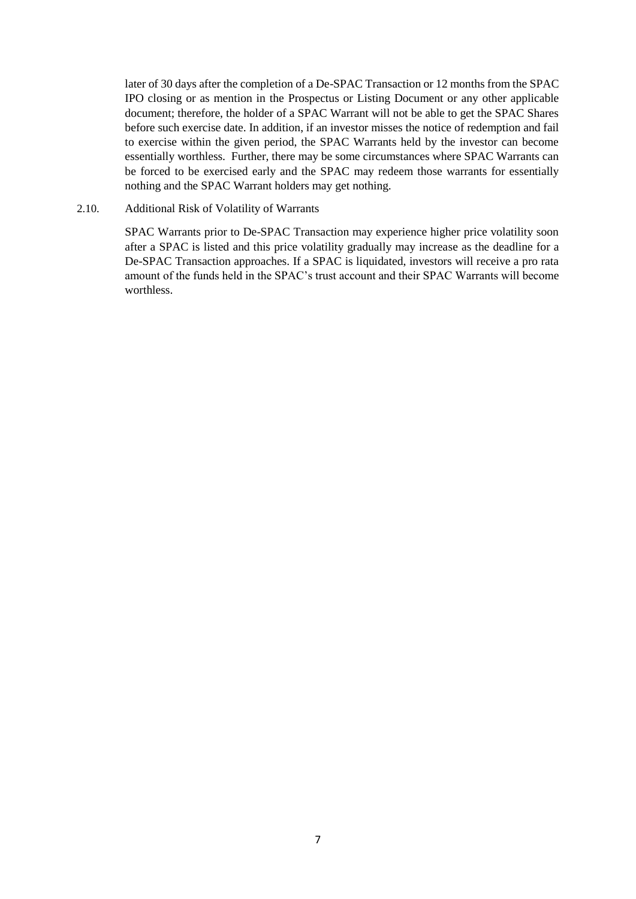later of 30 days after the completion of a De-SPAC Transaction or 12 months from the SPAC IPO closing or as mention in the Prospectus or Listing Document or any other applicable document; therefore, the holder of a SPAC Warrant will not be able to get the SPAC Shares before such exercise date. In addition, if an investor misses the notice of redemption and fail to exercise within the given period, the SPAC Warrants held by the investor can become essentially worthless. Further, there may be some circumstances where SPAC Warrants can be forced to be exercised early and the SPAC may redeem those warrants for essentially nothing and the SPAC Warrant holders may get nothing.

## 2.10. Additional Risk of Volatility of Warrants

SPAC Warrants prior to De-SPAC Transaction may experience higher price volatility soon after a SPAC is listed and this price volatility gradually may increase as the deadline for a De-SPAC Transaction approaches. If a SPAC is liquidated, investors will receive a pro rata amount of the funds held in the SPAC's trust account and their SPAC Warrants will become worthless.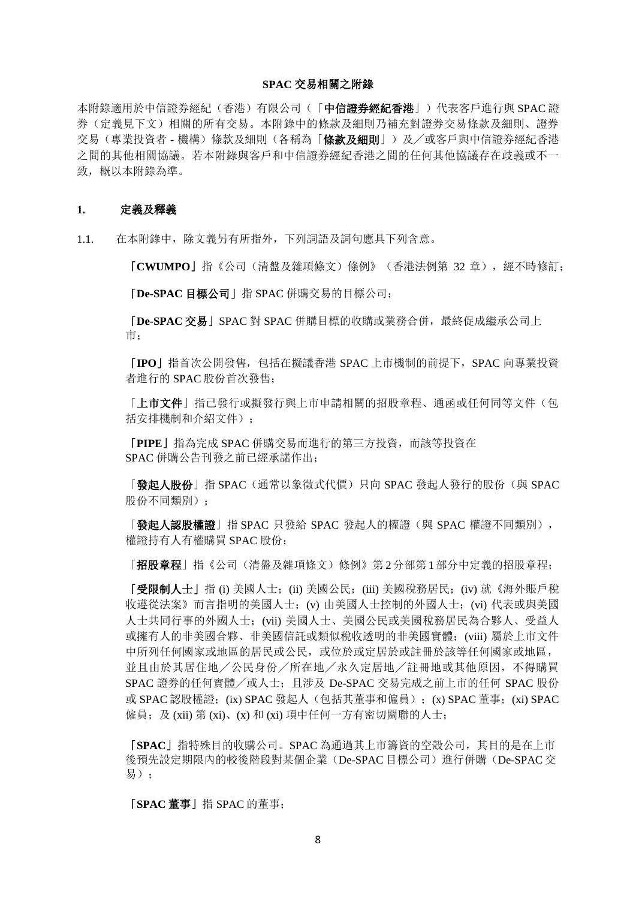### **SPAC** 交易相關之附錄

本附錄適用於中信證券經紀(香港)有限公司(「中**信證券經紀香港**」)代表客戶進行與 SPAC 證 券(定義見下文)相關的所有交易。本附錄中的條款及細則乃補充對證券交易條款及細則、證券 交易(專業投資者 - 機構)條款及細則(各稱為「條款及細則」)及╱或客戶與中信證券經紀香港 之間的其他相關協議。若本附錄與客戶和中信證券經紀香港之間的任何其他協議存在歧義或不一 致, 概以本附錄為準。

### **1.** 定義及釋義

1.1. 在本附錄中,除文義另有所指外,下列詞語及詞句應具下列含意。

「**CWUMPO**」指《公司(清盤及雜項條文)條例》(香港法例第 32 章),經不時修訂;

「**De-SPAC** 目標公司」指 SPAC 併購交易的目標公司;

「**De-SPAC** 交易」SPAC 對 SPAC 併購目標的收購或業務合併,最終促成繼承公司上 市;

「**IPO**」指首次公開發售,包括在擬議香港 SPAC 上市機制的前提下,SPAC 向專業投資 者進行的 SPAC 股份首次發售;

「上市文件」指已發行或擬發行與上市申請相關的招股章程、通函或任何同等文件(包 括安排機制和介紹文件):

「**PIPE**」指為完成 SPAC 併購交易而進行的第三方投資,而該等投資在 SPAC 併購公告刊發之前已經承諾作出;

「發起人股份」指 SPAC(通常以象徵式代價)只向 SPAC 發起人發行的股份(與 SPAC 股份不同類別);

「**發起人認股權證**」指 SPAC 只發給 SPAC 發起人的權證(與 SPAC 權證不同類別), 權證持有人有權購買 SPAC 股份;

「招股章程」指《公司(清盤及雜項條文)條例》第 2分部第 1部分中定義的招股章程;

「受限制人士」指 (i) 美國人士;(ii) 美國公民;(iii) 美國稅務居民;(iv) 就《海外賬戶稅 收遵從法案》而言指明的美國人士;(v) 由美國人士控制的外國人士;(vi) 代表或與美國 人士共同行事的外國人士;(vii) 美國人士、美國公民或美國稅務居民為合夥人、受益人 或擁有人的非美國合夥、非美國信託或類似稅收透明的非美國實體;(viii) 屬於上市文件 中所列任何國家或地區的居民或公民,或位於或定居於或註冊於該等任何國家或地區, 並且由於其居住地╱公民身份╱所在地╱永久定居地╱註冊地或其他原因,不得購買 SPAC 證券的任何實體╱或人士;且涉及 De-SPAC 交易完成之前上市的任何 SPAC 股份 或 SPAC 認股權證;(ix) SPAC 發起人(包括其董事和僱員);(x) SPAC 董事;(xi) SPAC 僱員;及 (xii) 第 (xi)、(x) 和 (xi) 項中任何一方有密切關聯的人士;

「**SPAC**」指特殊目的收購公司。SPAC 為通過其上市籌資的空殼公司,其目的是在上市 後預先設定期限內的較後階段對某個企業(De-SPAC 目標公司)進行併購(De-SPAC 交 易);

「**SPAC** 董事」指 SPAC 的董事;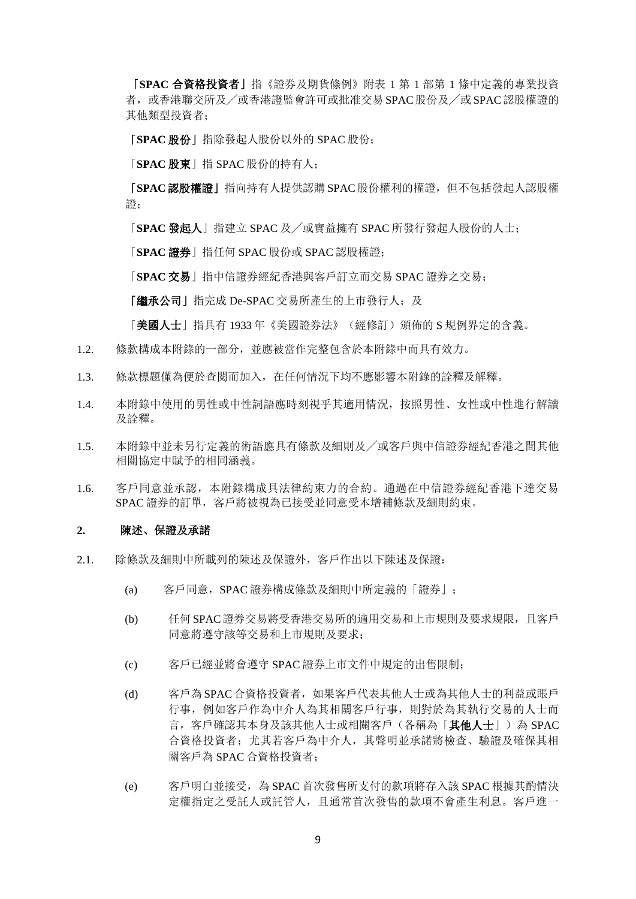「**SPAC** 合資格投資者」指《證券及期貨條例》附表 1 第 1 部第 1 條中定義的專業投資 者, 或香港聯交所及/或香港證監會許可或批准交易 SPAC 股份及/或 SPAC 認股權證的 其他類型投資者;

「**SPAC** 股份」指除發起人股份以外的 SPAC 股份;

「**SPAC** 股東」指 SPAC 股份的持有人;

「**SPAC**認股權證」指向持有人提供認購 SPAC股份權利的權證,但不包括發起人認股權 證;

「**SPAC** 發起人」指建立 SPAC 及╱或實益擁有 SPAC 所發行發起人股份的人士;

「**SPAC** 證券」指任何 SPAC 股份或 SPAC 認股權證;

「**SPAC** 交易」指中信證券經紀香港與客戶訂立而交易 SPAC 證券之交易;

「繼承公司」指完成 De-SPAC 交易所產生的上市發行人;及

「美國人士」指具有 1933年《美國證券法》(經修訂) 頒佈的 S 規例界定的含義。

- 1.2. 條款構成本附錄的一部分,並應被當作完整包含於本附錄中而具有效力。
- 1.3. 條款標題僅為便於查閱而加入,在任何情況下均不應影響本附錄的詮釋及解釋。
- 1.4. [本附錄中](https://www.lawinsider.com/clause/gender)使用的男性或中性詞語應時刻視乎其適用情況,按照男性、女性或中性進行解讀 及詮釋。
- 1.5. 本附錄中並未另行定義的術語應具有條款及細則及╱或客戶與中信證券經紀香港之間其他 相關協定中賦予的相同涵義。
- 1.6. 客戶同意並承認,本附錄構成具法律約束力的合約。通過在中信證券經紀香港下達交易 SPAC 證券的訂單,客戶戶將被視為已接受並同意受本增補條款及細則約束。

#### **2.** 陳述、保證及承諾

- 2.1. 除條款及細則中所載列的陳述及保證外,客戶作出以下陳述及保證:
	- (a) 客戶同意,SPAC 證券構成條款及細則中所定義的「證券」;
	- (b) 任何 SPAC證券交易將受香港交易所的適用交易和上市規則及要求規限,且客戶 同意將遵守該等交易和上市規則及要求;
	- (c) 客戶已經並將會遵守 SPAC 證券上市文件中規定的出售限制;
	- (d) 客戶為 SPAC合資格投資者,如果客戶代表其他人士或為其他人士的利益或賬戶 行事,例如客戶作為中介人為其相關客戶行事,則對於為其執行交易的人士而 言, 客戶確認其本身及該其他人士或相關客戶(各稱為「其他人士」)為 SPAC 合資格投資者;尤其若客戶為中介人,其聲明並承諾將檢查、驗證及確保其相 關客戶為 SPAC 合資格投資者;
	- (e) 客戶明白並接受,為 SPAC 首次發售所支付的款項將存入該 SPAC 根據其酌情決 定權指定之受託人或託管人,且通常首次發售的款項不會產生利息。客戶進一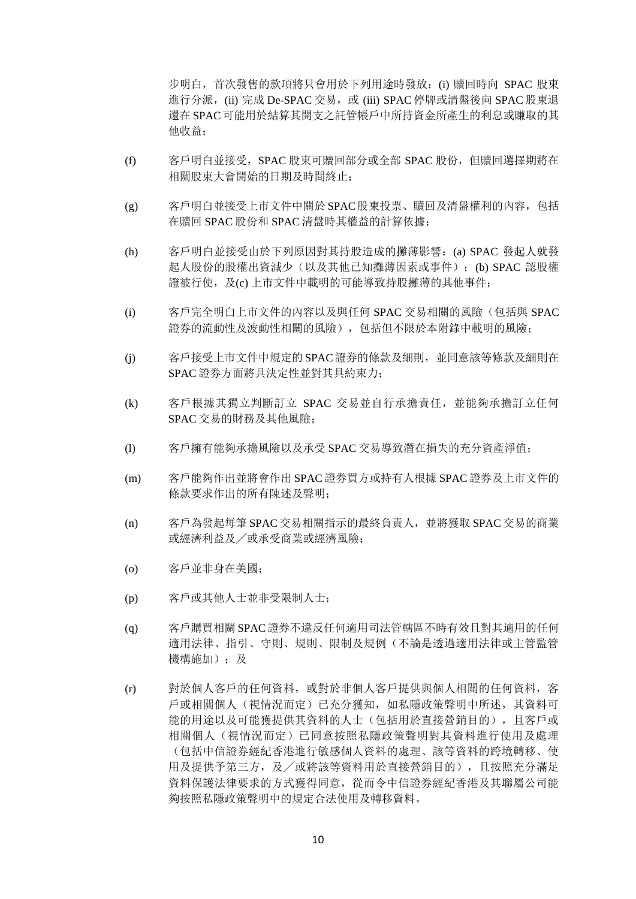步明白,首次發售的款項將只會用於下列用途時發放:(i) 贖回時向 SPAC 股東 進行分派, (ii) 完成 De-SPAC 交易, 或 (iii) SPAC 停牌或清盤後向 SPAC 股東退 還在 SPAC可能用於結算其開支之託管帳戶中所持資金所產生的利息或賺取的其 他收益;

- (f) 客戶明白並接受,SPAC 股東可贖回部分或全部 SPAC 股份,但贖回選擇期將在 相關股東大會開始的日期及時間終止;
- (g) 客戶明白並接受上市文件中關於 SPAC股東投票、贖回及清盤權利的內容,包括 在贖回 SPAC 股份和 SPAC 清盤時其權益的計算依據;
- (h) 客戶明白並接受由於下列原因對其持股造成的攤薄影響:(a) SPAC 發起人就發 起人股份的股權出資減少(以及其他已知攤薄因素或事件);(b) SPAC 認股權 證被行使,及(c) 上市文件中載明的可能導致持股攤薄的其他事件;
- (i) 客戶完全明白上市文件的內容以及與任何 SPAC 交易相關的風險(包括與 SPAC 證券的流動性及波動性相關的風險),包括但不限於本附錄中載明的風險;
- (j) 客戶接受上市文件中規定的 SPAC證券的條款及細則,並同意該等條款及細則在 SPAC 證券方面將具決定性並對其具約束力;
- (k) 客戶根據其獨立判斷訂立 SPAC 交易並自行承擔責任,並能夠承擔訂立任何 SPAC 交易的財務及其他風險;
- (l) 客戶擁有能夠承擔風險以及承受 SPAC 交易導致潛在損失的充分資產淨值;
- (m) 客戶能夠作出並將會作出 SPAC 證券買方或持有人根據 SPAC 證券及上市文件的 條款要求作出的所有陳述及聲明;
- (n) 客戶為發起每筆 SPAC 交易相關指示的最終負責人,並將獲取 SPAC 交易的商業 或經濟利益及╱或承受商業或經濟風險;
- (o) 客戶並非身在美國;
- (p) 客戶或其他人士並非受限制人士;
- (q) 客戶購買相關 SPAC證券不違反任何適用司法管轄區不時有效且對其適用的任何 適用法律、指引、守則、規則、限制及規例(不論是透過適用法律或主管監管 機構施加);及
- (r) 對於個人客戶的任何資料,或對於非個人客戶提供與個人相關的任何資料,客 戶或相關個人(視情況而定)已充分獲知,如私隱政策聲明中所述,其資料可 能的用途以及可能獲提供其資料的人士(包括用於直接營銷目的),且客戶或 相關個人(視情況而定)已同意按照私隱政策聲明對其資料進行使用及處理 (包括中信證券經紀香港進行敏感個人資料的處理、該等資料的跨境轉移、使 用及提供予第三方,及╱或將該等資料用於直接營銷目的),且按照充分滿足 資料保護法律要求的方式獲得同意,從而令中信證券經紀香港及其聯屬公司能 夠按照私隱政策聲明中的規定合法使用及轉移資料。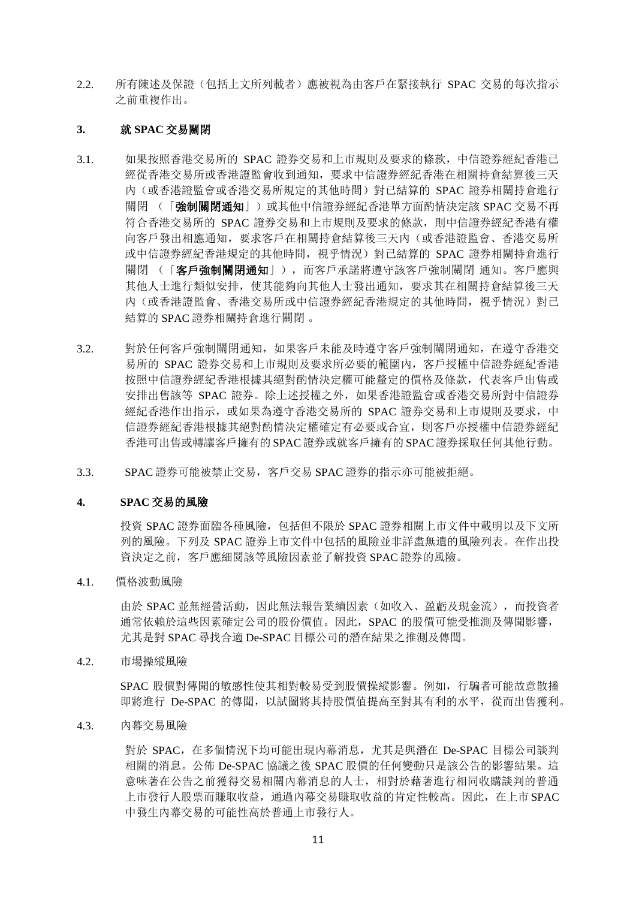2.2. 所有陳述及保證(包括上文所列載者)應被視為由客戶在緊接執行 SPAC 交易的每次指示 之前重複作出。

## **3.** 就 **SPAC** 交易關閉

- 3.1. 如果按照香港交易所的 SPAC 證券交易和上市規則及要求的條款,中信證券經紀香港已 經從香港交易所或香港證監會收到通知,要求中信證券經紀香港在相關持倉結算後三天 內(或香港證監會或香港交易所規定的其他時間)對已結算的 SPAC 證券相關持倉進行 關閉 (「強制關閉通知」)或其他中信證券經紀香港單方面酌情決定該 SPAC 交易不再 符合香港交易所的 SPAC 證券交易和上市規則及要求的條款,則中信證券經紀香港有權 向客戶發出相應通知,要求客戶在相關持倉結算後三天內(或香港證監會、香港交易所 或中信證券經紀香港規定的其他時間,視乎情況)對已結算的 SPAC 證券相關持倉進行 關閉 (「客戶強制關閉通知」),而客戶承諾將遵守該客戶強制關閉 通知。客戶應與 其他人士進行類似安排,使其能夠向其他人士發出通知,要求其在相關持倉結算後三天 內(或香港證監會、香港交易所或中信證券經紀香港規定的其他時間,視乎情況)對已 結算的 SPAC 證券相關持倉進行關閉 。
- 3.2. 對於任何客戶強制關閉通知,如果客戶未能及時遵守客戶強制關閉通知,在遵守香港交 易所的 SPAC 證券交易和上市規則及要求所必要的範圍內, 客戶授權中信證券經紀香港 按照中信證券經紀香港根據其絕對酌情決定權可能釐定的價格及條款,代表客戶出售或 安排出售該等 SPAC 證券。除上述授權之外,如果香港證監會或香港交易所對中信證券 經紀香港作出指示,或如果為遵守香港交易所的 SPAC 證券交易和上市規則及要求,中 信證券經紀香港根據其絕對酌情決定權確定有必要或合宜,則客戶亦授權中信證券經紀 香港可出售或轉讓客戶擁有的 SPAC證券或就客戶擁有的 SPAC證券採取任何其他行動。
- 3.3. SPAC 證券可能被禁止交易, 客戶交易 SPAC 證券的指示亦可能被拒絕。

## **4. SPAC** 交易的風險

投資 SPAC 證券面臨各種風險, 包括但不限於 SPAC 證券相關上市文件中載明以及下文所 列的風險。下列及 SPAC 證券上市文件中包括的風險並非詳盡無遺的風險列表。在作出投 資決定之前,客戶應細閱該等風險因素並了解投資 SPAC 證券的風險。

4.1. 價格波動風險

由於 SPAC 並無經營活動, 因此無法報告業績因素(如收入、盈虧及現金流), 而投資者 通常依賴於這些因素確定公司的股份價值。因此,SPAC 的股價可能受推測及傳聞影響, 尤其是對 SPAC 尋找合適 De-SPAC 目標公司的潛在結果之推測及傳聞。

4.2. 市場操縱風險

SPAC 股價對傳聞的敏感性使其相對較易受到股價操縱影響。例如,行騙者可能故意散播 即將進行 De-SPAC 的傳聞,以試圖將其持股價值提高至對其有利的水平,從而出售獲利。

4.3. 內幕交易風險

對於 SPAC,在多個情況下均可能出現內幕消息,尤其是與潛在 De-SPAC 目標公司談判 相關的消息。公佈 De-SPAC 協議之後 SPAC 股價的任何變動只是該公告的影響結果。這 意味著在公告之前獲得交易相關內幕消息的人士,相對於藉著進行相同收購談判的普通 上市發行人股票而賺取收益,通過內幕交易賺取收益的肯定性較高。因此,在上市 SPAC 中發生內幕交易的可能性高於普通上市發行人。